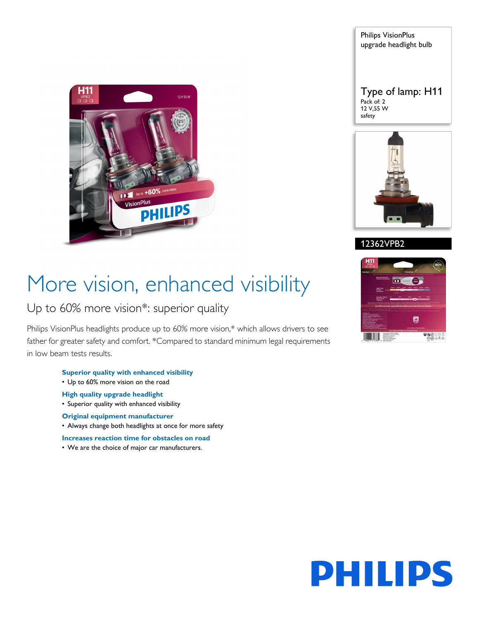

Philips VisionPlus upgrade headlight bulb

Type of lamp: H11 Pack of: 2 12 V,55 W safety



#### 12362VPB2

# More vision, enhanced visibility

### Up to 60% more vision\*: superior quality

Philips VisionPlus headlights produce up to 60% more vision,\* which allows drivers to see father for greater safety and comfort. \*Compared to standard minimum legal requirements in low beam tests results.



#### **Superior quality with enhanced visibility**

• Up to 60% more vision on the road

#### **High quality upgrade headlight**

• Superior quality with enhanced visibility

#### **Original equipment manufacturer**

• Always change both headlights at once for more safety

**Increases reaction time for obstacles on road**

• We are the choice of major car manufacturers.